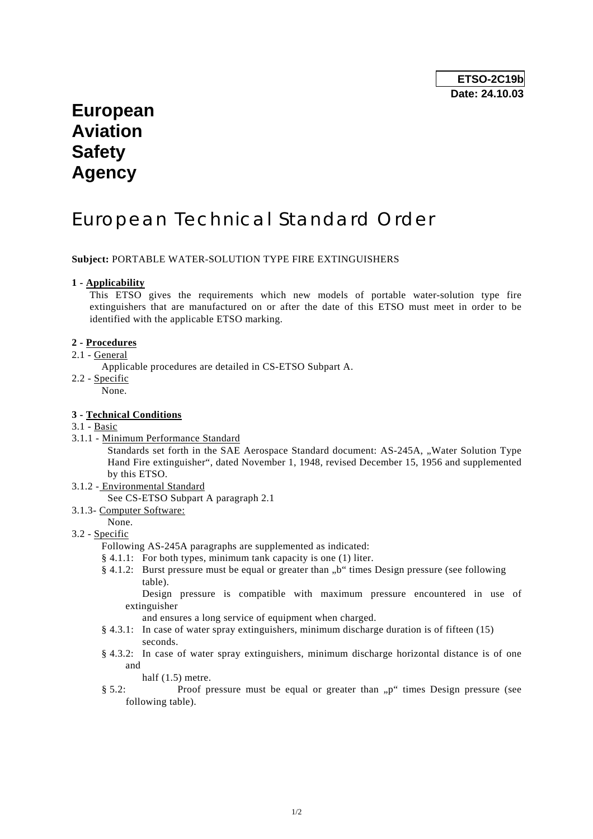# **European Aviation Safety Agency**

# European Technical Standard Order

## **Subject:** PORTABLE WATER-SOLUTION TYPE FIRE EXTINGUISHERS

#### **1 - Applicability**

 This ETSO gives the requirements which new models of portable water-solution type fire extinguishers that are manufactured on or after the date of this ETSO must meet in order to be identified with the applicable ETSO marking.

### **2 - Procedures**

- 2.1 General
	- Applicable procedures are detailed in CS-ETSO Subpart A.
- 2.2 Specific
	- None.

## **3 - Technical Conditions**

- 3.1 Basic
- 3.1.1 Minimum Performance Standard

Standards set forth in the SAE Aerospace Standard document: AS-245A, "Water Solution Type Hand Fire extinguisher", dated November 1, 1948, revised December 15, 1956 and supplemented by this ETSO.

3.1.2 - Environmental Standard

See CS-ETSO Subpart A paragraph 2.1

- 3.1.3- Computer Software:
- None.

## 3.2 - Specific

Following AS-245A paragraphs are supplemented as indicated:

- § 4.1.1: For both types, minimum tank capacity is one (1) liter.
- $§$  4.1.2: Burst pressure must be equal or greater than  $b$ " times Design pressure (see following table).

 Design pressure is compatible with maximum pressure encountered in use of extinguisher

and ensures a long service of equipment when charged.

- § 4.3.1: In case of water spray extinguishers, minimum discharge duration is of fifteen (15) seconds.
- § 4.3.2: In case of water spray extinguishers, minimum discharge horizontal distance is of one and

half  $(1.5)$  metre.

§ 5.2: Proof pressure must be equal or greater than "p" times Design pressure (see following table).